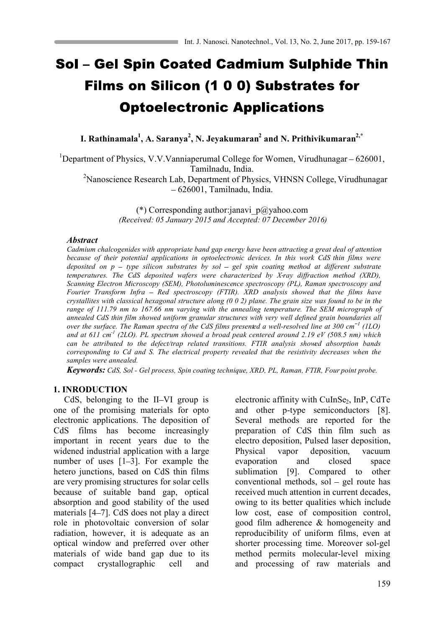# Sol - Gel Spin Coated Cadmium Sulphide Thin Films on Silicon (1 0 0) Substrates for **Optoelectronic Applications**

**I. Rathinamala1 , A. Saranya2 , N. Jeyakumaran2 and N. Prithivikumaran2,\***

<sup>1</sup>Department of Physics, V.V.Vanniaperumal College for Women, Virudhunagar  $-626001$ , Tamilnadu, India.

<sup>2</sup>Nanoscience Research Lab, Department of Physics, VHNSN College, Virudhunagar 626001, Tamilnadu, India.

> (\*) Corresponding author: janavi  $p(\hat{a})$ yahoo.com *(Received: 05 January 2015 and Accepted: 07 December 2016)*

## *Abstract*

*Cadmium chalcogenides with appropriate band gap energy have been attracting a great deal of attention because of their potential applications in optoelectronic devices. In this work CdS thin films were deposited on p – type silicon substrates by sol – gel spin coating method at different substrate temperatures. The CdS deposited wafers were characterized by X ray diffraction method (XRD), Scanning Electron Microscopy (SEM), Photoluminescence spectroscopy (PL), Raman spectroscopy and Fourier Transform Infra Red spectroscopy (FTIR). XRD analysis showed that the films have crystallites with classical hexagonal structure along (0 0 2) plane. The grain size was found to be in the range of 111.79 nm to 167.66 nm varying with the annealing temperature. The SEM micrograph of annealed CdS thin film showed uniform granular structures with very well defined grain boundaries all over the surface. The Raman spectra of the CdS films presented a well-resolved line at 300 cm<sup>-1</sup> (1LO) and at 611 cm-1 (2LO). PL spectrum showed a broad peak centered around 2.19 eV (508.5 nm) which can be attributed to the defect/trap related transitions. FTIR analysis showed absorption bands corresponding to Cd and S. The electrical property revealed that the resistivity decreases when the samples were annealed.*

*Keywords: CdS, Sol - Gel process, Spin coating technique, XRD, PL, Raman, FTIR, Four point probe.*

## **1. INRODUCTION**

CdS, belonging to the II-VI group is one of the promising materials for opto electronic applications. The deposition of CdS films has become increasingly important in recent years due to the widened industrial application with a large number of uses  $[1-3]$ . For example the hetero junctions, based on CdS thin films are very promising structures for solar cells because of suitable band gap, optical absorption and good stability of the used materials [4–7]. CdS does not play a direct role in photovoltaic conversion of solar radiation, however, it is adequate as an optical window and preferred over other materials of wide band gap due to its compact crystallographic cell and

electronic affinity with CuInSe<sub>2</sub>, InP, CdTe and other p-type semiconductors [8]. Several methods are reported for the preparation of CdS thin film such as electro deposition, Pulsed laser deposition, Physical vapor deposition, vacuum evaporation and closed space sublimation [9]. Compared to other conventional methods, sol  $-$  gel route has received much attention in current decades, owing to its better qualities which include low cost, ease of composition control, good film adherence & homogeneity and reproducibility of uniform films, even at shorter processing time. Moreover sol-gel method permits molecular-level mixing and processing of raw materials and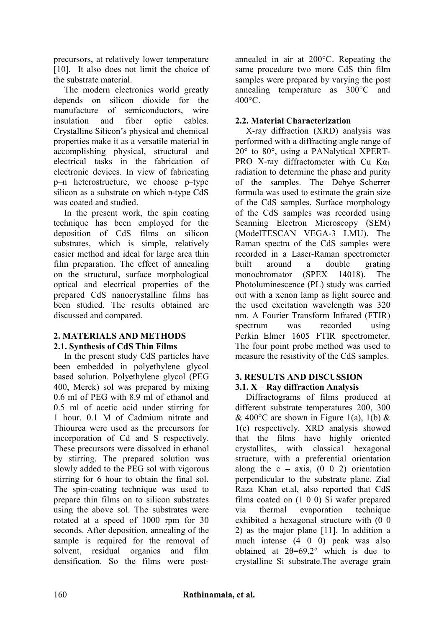precursors, at relatively lower temperature [10]. It also does not limit the choice of the substrate material.

The modern electronics world greatly depends on silicon dioxide for the manufacture of semiconductors, wire insulation and fiber optic cables. Crystalline Silicon's physical and chemical properties make it as a versatile material in accomplishing physical, structural and electrical tasks in the fabrication of electronic devices. In view of fabricating p-n heterostructure, we choose p-type silicon as a substrate on which n-type CdS was coated and studied.

In the present work, the spin coating technique has been employed for the deposition of CdS films on silicon substrates, which is simple, relatively easier method and ideal for large area thin film preparation. The effect of annealing on the structural, surface morphological optical and electrical properties of the prepared CdS nanocrystalline films has been studied. The results obtained are discussed and compared.

# **2. MATERIALS AND METHODS 2.1. Synthesis of CdS Thin Films**

In the present study CdS particles have been embedded in polyethylene glycol based solution. Polyethylene glycol (PEG 400, Merck) sol was prepared by mixing 0.6 ml of PEG with 8.9 ml of ethanol and 0.5 ml of acetic acid under stirring for 1 hour. 0.1 M of Cadmium nitrate and Thiourea were used as the precursors for incorporation of Cd and S respectively. These precursors were dissolved in ethanol by stirring. The prepared solution was slowly added to the PEG sol with vigorous stirring for 6 hour to obtain the final sol. The spin-coating technique was used to prepare thin films on to silicon substrates using the above sol. The substrates were rotated at a speed of 1000 rpm for 30 seconds. After deposition, annealing of the sample is required for the removal of solvent, residual organics and film densification. So the films were postannealed in air at 200°C. Repeating the same procedure two more CdS thin film samples were prepared by varying the post annealing temperature as 300°C and  $400^{\circ}$ C.

# **2.2. Material Characterization**

X-ray diffraction (XRD) analysis was performed with a diffracting angle range of 20° to 80°, using a PANalytical XPERT-PRO X-ray diffractometer with Cu  $K\alpha_1$ radiation to determine the phase and purity of the samples. The Debye-Scherrer formula was used to estimate the grain size of the CdS samples. Surface morphology of the CdS samples was recorded using Scanning Electron Microscopy (SEM) (ModelTESCAN VEGA-3 LMU). The Raman spectra of the CdS samples were recorded in a Laser-Raman spectrometer built around a double grating monochromator (SPEX 14018). The Photoluminescence (PL) study was carried out with a xenon lamp as light source and the used excitation wavelength was 320 nm. A Fourier Transform Infrared (FTIR) spectrum was recorded using Perkin-Elmer 1605 FTIR spectrometer. The four point probe method was used to measure the resistivity of the CdS samples.

## **3. RESULTS AND DISCUSSION 3.1. X – Ray diffraction Analysis**

Diffractograms of films produced at different substrate temperatures 200, 300 & 400 $\degree$ C are shown in Figure 1(a), 1(b) & 1(c) respectively. XRD analysis showed that the films have highly oriented crystallites, with classical hexagonal structure, with a preferential orientation along the  $c - axis$ ,  $(0 \ 0 \ 2)$  orientation perpendicular to the substrate plane. Zial Raza Khan et.al, also reported that CdS films coated on (1 0 0) Si wafer prepared via thermal evaporation technique exhibited a hexagonal structure with (0 0 2) as the major plane [11]. In addition a much intense (4 0 0) peak was also obtained at  $2\theta = 69.2^{\circ}$  which is due to crystalline Si substrate.The average grain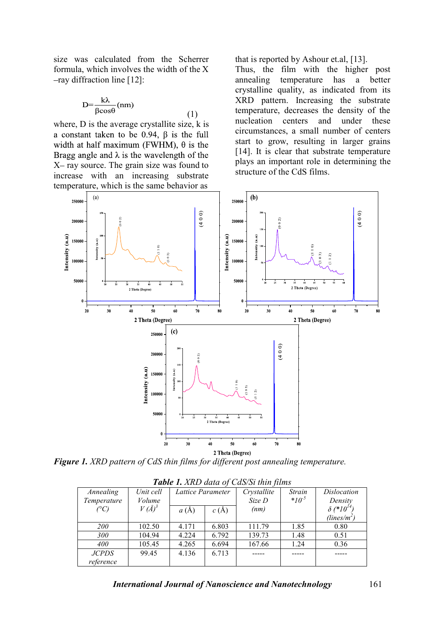size was calculated from the Scherrer formula, which involves the width of the X -ray diffraction line [12]:

$$
D = \frac{k\lambda}{\beta \cos \theta} \text{(nm)}\tag{1}
$$

where, D is the average crystallite size, k is a constant taken to be 0.94,  $\beta$  is the full width at half maximum (FWHM),  $\theta$  is the Bragg angle and  $\lambda$  is the wavelength of the  $X$ – ray source. The grain size was found to increase with an increasing substrate temperature, which is the same behavior as

that is reported by Ashour et.al, [13].

Thus, the film with the higher post annealing temperature has a better crystalline quality, as indicated from its XRD pattern. Increasing the substrate temperature, decreases the density of the nucleation centers and under these circumstances, a small number of centers start to grow, resulting in larger grains [14]. It is clear that substrate temperature plays an important role in determining the structure of the CdS films.



*Figure 1. XRD pattern of CdS thin films for different post annealing temperature.*

| Twore I, Alle again of Casto of the funds |            |                   |       |             |            |                               |  |  |
|-------------------------------------------|------------|-------------------|-------|-------------|------------|-------------------------------|--|--|
| Annealing                                 | Unit cell  | Lattice Parameter |       | Crystallite | Strain     | <i>Dislocation</i>            |  |  |
| Temperature                               | Volume     |                   |       | Size D      | $*10^{-5}$ | Density                       |  |  |
| (°C)                                      | $V(\AA)^3$ | a(A)              | c(A)  | (nm)        |            | $\delta$ (*10 <sup>14</sup> ) |  |  |
|                                           |            |                   |       |             |            | (lines/m <sup>2</sup> )       |  |  |
| <i>200</i>                                | 102.50     | 4.171             | 6.803 | 111.79      | 1.85       | 0.80                          |  |  |
| 300                                       | 104.94     | 4.224             | 6.792 | 139.73      | 1.48       | 0.51                          |  |  |
| 400                                       | 105.45     | 4.265             | 6.694 | 167.66      | 1.24       | 0.36                          |  |  |
| <i>JCPDS</i>                              | 99.45      | 4.136             | 6.713 |             |            |                               |  |  |
| reference                                 |            |                   |       |             |            |                               |  |  |

*Table 1. XRD data of CdS/Si thin films*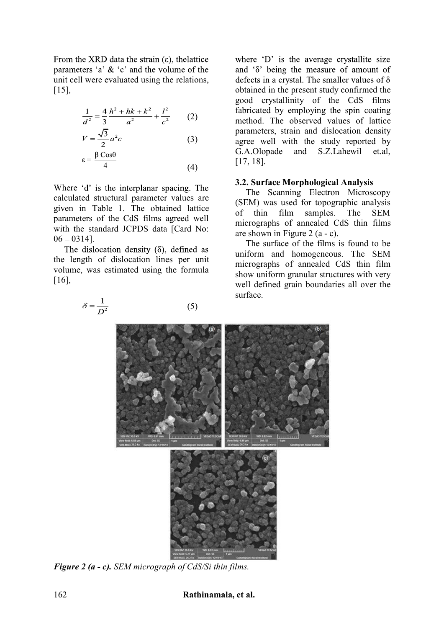From the XRD data the strain  $(\epsilon)$ , the lattice parameters 'a'  $\&$  'c' and the volume of the unit cell were evaluated using the relations, [15],

$$
\frac{1}{d^2} = \frac{4}{3} \frac{h^2 + hk + k^2}{a^2} + \frac{l^2}{c^2}
$$
 (2)

$$
V = \frac{\sqrt{3}}{2}a^2c
$$
 (3)  

$$
\varepsilon = \frac{\beta \cos\theta}{4}
$$
 (4)

Where 'd' is the interplanar spacing. The calculated structural parameter values are given in Table 1. The obtained lattice parameters of the CdS films agreed well with the standard JCPDS data [Card No:  $06 - 0314$ ].

The dislocation density  $(\delta)$ , defined as the length of dislocation lines per unit volume, was estimated using the formula [16],

 $\delta = \frac{1}{D^2}$ 

where 'D' is the average crystallite size and  $\delta$  being the measure of amount of defects in a crystal. The smaller values of  $\delta$ obtained in the present study confirmed the good crystallinity of the CdS films fabricated by employing the spin coating method. The observed values of lattice parameters, strain and dislocation density agree well with the study reported by G.A.Olopade and S.Z.Lahewil et.al, [17, 18].

## **3.2. Surface Morphological Analysis**

The Scanning Electron Microscopy (SEM) was used for topographic analysis of thin film samples. The SEM micrographs of annealed CdS thin films are shown in Figure 2 (a - c).

The surface of the films is found to be uniform and homogeneous. The SEM micrographs of annealed CdS thin film show uniform granular structures with very well defined grain boundaries all over the surface.



(5)

*Figure 2 (a - c). SEM micrograph of CdS/Si thin films.*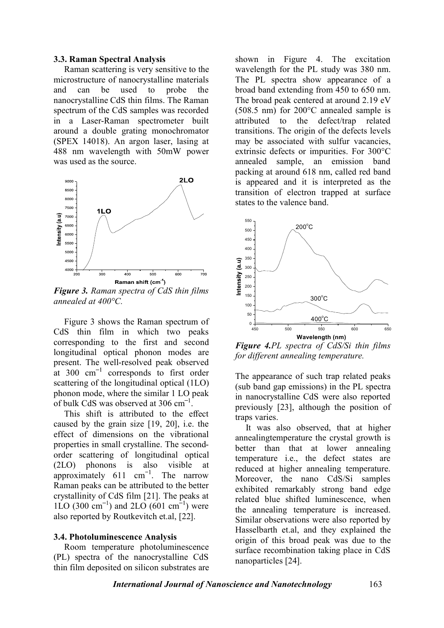#### **3.3. Raman Spectral Analysis**

Raman scattering is very sensitive to the microstructure of nanocrystalline materials and can be used to probe the nanocrystalline CdS thin films. The Raman spectrum of the CdS samples was recorded in a Laser-Raman spectrometer built around a double grating monochromator (SPEX 14018). An argon laser, lasing at 488 nm wavelength with 50mW power was used as the source.



*Figure 3. Raman spectra of CdS thin films annealed at 400°C.*

Figure 3 shows the Raman spectrum of CdS thin film in which two peaks corresponding to the first and second longitudinal optical phonon modes are present. The well-resolved peak observed at  $300 \text{ cm}^{-1}$  corresponds to first order scattering of the longitudinal optical (1LO) phonon mode, where the similar 1 LO peak of bulk CdS was observed at  $306 \text{ cm}^{-1}$ .

This shift is attributed to the effect caused by the grain size [19, 20], i.e. the effect of dimensions on the vibrational properties in small crystalline. The secondorder scattering of longitudinal optical (2LO) phonons is also visible at approximately  $611 \text{ cm}^{-1}$ . The narrow Raman peaks can be attributed to the better crystallinity of CdS film [21]. The peaks at 1LO (300 cm<sup>-1</sup>) and 2LO (601 cm<sup>-1</sup>) were also reported by Routkevitch et.al, [22].

#### **3.4. Photoluminescence Analysis**

Room temperature photoluminescence (PL) spectra of the nanocrystalline CdS thin film deposited on silicon substrates are shown in Figure 4. The excitation wavelength for the PL study was 380 nm. The PL spectra show appearance of a broad band extending from 450 to 650 nm. The broad peak centered at around 2.19 eV (508.5 nm) for 200°C annealed sample is attributed to the defect/trap related transitions. The origin of the defects levels may be associated with sulfur vacancies, extrinsic defects or impurities. For 300°C annealed sample, an emission band packing at around 618 nm, called red band is appeared and it is interpreted as the transition of electron trapped at surface states to the valence band.



*Figure 4.PL spectra of CdS/Si thin films for different annealing temperature.*

The appearance of such trap related peaks (sub band gap emissions) in the PL spectra in nanocrystalline CdS were also reported previously [23], although the position of traps varies.

It was also observed, that at higher annealingtemperature the crystal growth is better than that at lower annealing temperature i.e., the defect states are reduced at higher annealing temperature. Moreover, the nano CdS/Si samples exhibited remarkably strong band edge related blue shifted luminescence, when the annealing temperature is increased. Similar observations were also reported by Hasselbarth et.al, and they explained the origin of this broad peak was due to the surface recombination taking place in CdS nanoparticles [24].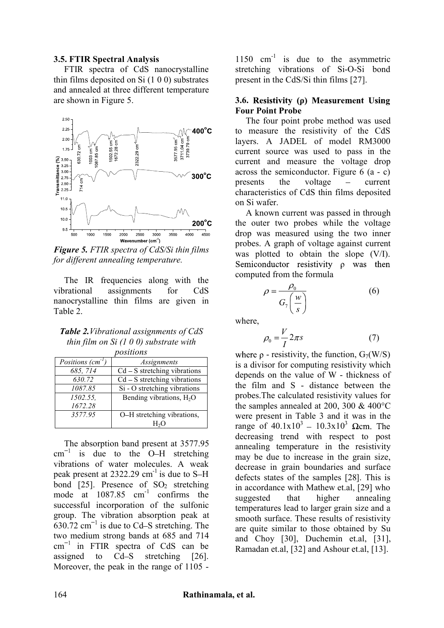#### **3.5. FTIR Spectral Analysis**

FTIR spectra of CdS nanocrystalline thin films deposited on Si (1 0 0) substrates and annealed at three different temperature are shown in Figure 5.



*Figure 5. FTIR spectra of CdS/Si thin films for different annealing temperature.*

The IR frequencies along with the vibrational assignments for CdS nanocrystalline thin films are given in Table 2.

| <b>Table 2.</b> Vibrational assignments of CdS |
|------------------------------------------------|
| thin film on Si $(1\ 0\ 0)$ substrate with     |
| nositions                                      |

| --------          |                                      |  |  |  |
|-------------------|--------------------------------------|--|--|--|
| Positions $(cm-1$ | <i>Assignments</i>                   |  |  |  |
| 685, 714          | $Cd - S$ stretching vibrations       |  |  |  |
| 630.72            | $Cd - S$ stretching vibrations       |  |  |  |
| 1087.85           | Si - O stretching vibrations         |  |  |  |
| 1502.55,          | Bending vibrations, H <sub>2</sub> O |  |  |  |
| 1672.28           |                                      |  |  |  |
| 3577.95           | O-H stretching vibrations,           |  |  |  |
|                   |                                      |  |  |  |

The absorption band present at 3577.95  $cm^{-1}$  is due to the O-H stretching vibrations of water molecules. A weak peak present at  $2322.29$  cm<sup>-1</sup> is due to S-H bond  $[25]$ . Presence of  $SO_2$  stretching mode at  $1087.85$  cm<sup>-1</sup> confirms the successful incorporation of the sulfonic group. The vibration absorption peak at 630.72  $cm^{-1}$  is due to Cd–S stretching. The two medium strong bands at 685 and 714  $cm^{-1}$  in FTIR spectra of CdS can be assigned to Cd-S stretching [26]. Moreover, the peak in the range of 1105 -

1150  $cm^{-1}$  is due to the asymmetric stretching vibrations of Si-O-Si bond present in the CdS/Si thin films [27].

#### **3.6. Four Point Probe**

The four point probe method was used to measure the resistivity of the CdS layers. A JADEL of model RM3000 current source was used to pass in the current and measure the voltage drop across the semiconductor. Figure 6 (a - c) presents the voltage  $-$  current characteristics of CdS thin films deposited on Si wafer.

A known current was passed in through the outer two probes while the voltage drop was measured using the two inner probes. A graph of voltage against current was plotted to obtain the slope (V/I). Semiconductor resistivity  $\rho$  was then computed from the formula

$$
\rho = \frac{\rho_0}{G_7\left(\frac{w}{s}\right)}\tag{6}
$$

where,

$$
\rho_0 = \frac{V}{I} 2\pi s \tag{7}
$$

where  $\rho$  - resistivity, the function,  $G_7(W/S)$ is a divisor for computing resistivity which depends on the value of W - thickness of the film and S - distance between the probes.The calculated resistivity values for the samples annealed at 200, 300 & 400°C were present in Table 3 and it was in the range of  $40.1x10^3 - 10.3x10^3$  Qcm. The decreasing trend with respect to post annealing temperature in the resistivity may be due to increase in the grain size, decrease in grain boundaries and surface defects states of the samples [28]. This is in accordance with Mathew et.al, [29] who suggested that higher annealing temperatures lead to larger grain size and a smooth surface. These results of resistivity are quite similar to those obtained by Su and Choy [30], Duchemin et.al, [31], Ramadan et.al, [32] and Ashour et.al, [13].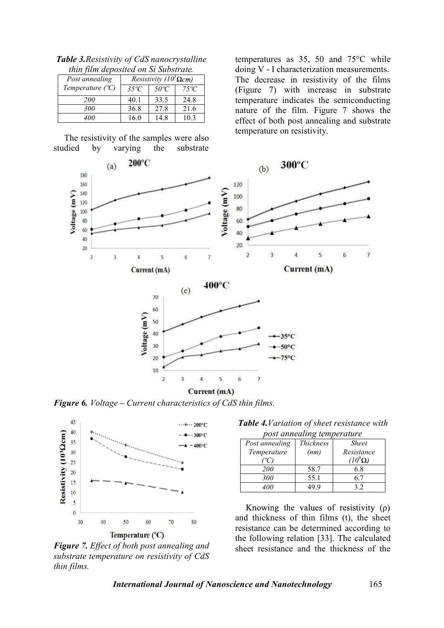| thin film deposited on Si Substrate. |                                 |               |               |  |  |
|--------------------------------------|---------------------------------|---------------|---------------|--|--|
| Post annealing                       | Resistivity ( $10^3 \Omega$ cm) |               |               |  |  |
| Temperature $(^{\circ}C)$            | $35^{\circ}C$                   | $50^{\circ}C$ | $75^{\circ}C$ |  |  |
| <i>200</i>                           | 40.1                            | 33.5          | 24.8          |  |  |
| 300                                  | 36.8                            | 27.8          | 21.6          |  |  |
| 400                                  | 16.0                            | 14.8          | 10.3          |  |  |

*Table 3.Resistivity of CdS nanocrystalline thin film deposited on Si Substrate.*

The resistivity of the samples were also studied by varying the substrate

temperatures as 35, 50 and 75°C while doing V - I characterization measurements. The decrease in resistivity of the films (Figure 7) with increase in substrate temperature indicates the semiconducting nature of the film. Figure 7 shows the effect of both post annealing and substrate temperature on resistivity.



*Figure 6. Voltage Current characteristics of CdS thin films.*



*Figure 7. Effect of both post annealing and substrate temperature on resistivity of CdS thin films.*

*Table 4.Variation of sheet resistance with post annealing temperature*

| post annoamic tomporature |           |                |  |  |  |  |
|---------------------------|-----------|----------------|--|--|--|--|
| Post annealing            | Thickness | <b>Sheet</b>   |  |  |  |  |
| Temperature               | (nm)      | Resistance     |  |  |  |  |
|                           |           | $(10^9\Omega)$ |  |  |  |  |
| <i>200</i>                | 58.7      | 6.8            |  |  |  |  |
| 300                       | 55.1      | 6.7            |  |  |  |  |
| 400                       | 49 9      | 3.2            |  |  |  |  |

Knowing the values of resistivity  $(\rho)$ and thickness of thin films (t), the sheet resistance can be determined according to the following relation [33]. The calculated sheet resistance and the thickness of the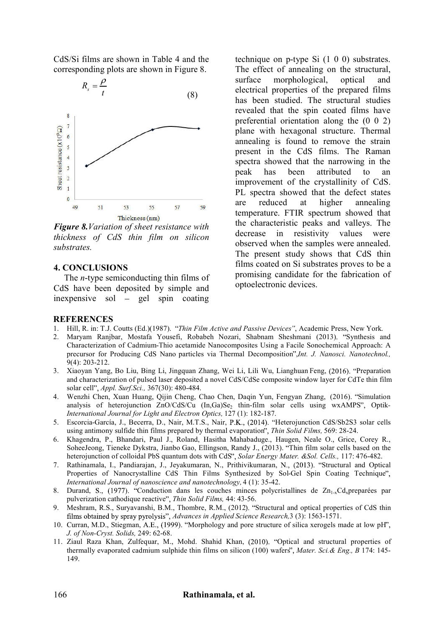CdS/Si films are shown in Table 4 and the corresponding plots are shown in Figure 8.

$$
R_s = \frac{\rho}{t} \tag{8}
$$



*Figure 8.Variation of sheet resistance with thickness of CdS thin film on silicon substrates.*

#### **4. CONCLUSIONS**

The *n*-type semiconducting thin films of CdS have been deposited by simple and inexpensive sol  $-$  gel spin coating

#### **REFERENCES**

technique on p-type Si (1 0 0) substrates. The effect of annealing on the structural, surface morphological, optical and electrical properties of the prepared films has been studied. The structural studies revealed that the spin coated films have preferential orientation along the (0 0 2) plane with hexagonal structure. Thermal annealing is found to remove the strain present in the CdS films. The Raman spectra showed that the narrowing in the peak has been attributed to an improvement of the crystallinity of CdS. PL spectra showed that the defect states are reduced at higher annealing temperature. FTIR spectrum showed that the characteristic peaks and valleys. The decrease in resistivity values were observed when the samples were annealed. The present study shows that CdS thin films coated on Si substrates proves to be a promising candidate for the fabrication of optoelectronic devices.

- 1. Hill, R. in: T.J. Coutts (Ed.)(1987). *Thin Film Active and Passive Devices* , Academic Press, New York.
- 2. Maryam Ranjbar, Mostafa Yousefi, Robabeh Nozari, Shabnam Sheshmani (2013). "Synthesis and Characterization of Cadmium-Thio acetamide Nanocomposites Using a Facile Sonochemical Approach: A precursor for Producing CdS Nano particles via Thermal Decomposition",*Int. J. Nanosci. Nanotechnol.*, 9(4): 203-212.
- 3. Xiaoyan Yang, Bo Liu, Bing Li, Jingquan Zhang, Wei Li, Lili Wu, Lianghuan Feng, (2016). "Preparation and characterization of pulsed laser deposited a novel CdS/CdSe composite window layer for CdTe thin film solar cell *Appl. Surf.Sci.,* 367(30): 480-484.
- 4. Wenzhi Chen, Xuan Huang, Qijin Cheng, Chao Chen, Daqin Yun, Fengyan Zhang, (2016). "Simulation analysis of heterojunction ZnO/CdS/Cu (In,Ga)Se<sub>2</sub> thin-film solar cells using wxAMPS", Optik-*International Journal for Light and Electron Optics,* 127 (1): 182-187.
- 5. Escorcia-García, J., Becerra, D., Nair, M.T.S., Nair, P.K., (2014). "Heterojunction CdS/Sb2S3 solar cells using antimony sulfide thin films prepared by thermal evaporation<sup>"</sup>, Thin Solid Films, 569: 28-24.
- 6. Khagendra, P., Bhandari, Paul J., Roland, Hasitha Mahabaduge., Haugen, Neale O., Grice, Corey R., SoheeJeong, Tieneke Dykstra, Jianbo Gao, Ellingson, Randy J., (2013). Thin film solar cells based on the heterojunction of colloidal PbS quantum dots with CdS *Solar Energy Mater. &Sol. Cells.,* 117: 476-482.
- 7. Rathinamala, I., Pandiarajan, J., Jeyakumaran, N., Prithivikumaran, N., (2013). "Structural and Optical Properties of Nanocrystalline CdS Thin Films Synthesized by Sol-Gel Spin Coating Technique *International Journal of nanoscience and nanotechnology,* 4 (1): 35-42.
- 8. Durand, S., (1977). "Conduction dans les couches minces polycristallines de Zn<sub>1-x</sub>Cd<sub>x</sub>preparées par pulverization cathodique reactive *Thin Solid Films,* 44: 43-56.
- 9. Meshram, R.S., Suryavanshi, B.M., Thombre, R.M., (2012). "Structural and optical properties of CdS thin films obtained by spray pyrolysis", Advances in Applied Science Research, 3 (3): 1563-1571.
- 10. Curran, M.D., Stiegman, A.E., (1999). "Morphology and pore structure of silica xerogels made at low pH", *J. of Non-Cryst. Solids,* 249: 62-68.
- 11. Ziaul Raza Khan, Zulfequar, M., Mohd. Shahid Khan, (2010). "Optical and structural properties of thermally evaporated cadmium sulphide thin films on silicon (100) wafers *Mater. Sci.& Eng., B* 174: 145- 149.